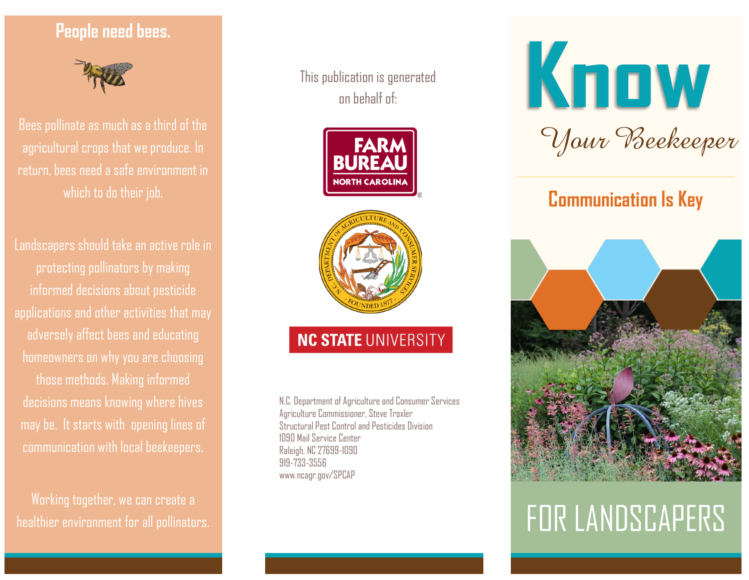## **People need bees.**



Bees pollinate as much as a third of the agricultural crops that we produce. In return, bees need a safe environment in

Landscapers should take an active role in protecting pollinators by making informed decisions about pesticide applications and other activities that may adversely affect bees and educating homeowners on why you are choosing those methods. Making informed decisions means knowing where hives may be. It starts with opening lines of communication with local beekeepers.

Working together, we can create a healthier environment for all pollinators. This publication is generated on behalf of:





## NC STATE UNIVERSITY

N.C. Department of Agriculture and Consumer Services Agriculture Commissioner, Steve Troxler Structural Pest Control and Pesticides Division 1090 Mail Service Center Raleigh, NC 27699-1090 919-733-3556 www.ncagr.gov/SPCAP



# **Communication Is Key**



# FOR LANDSCAPERS